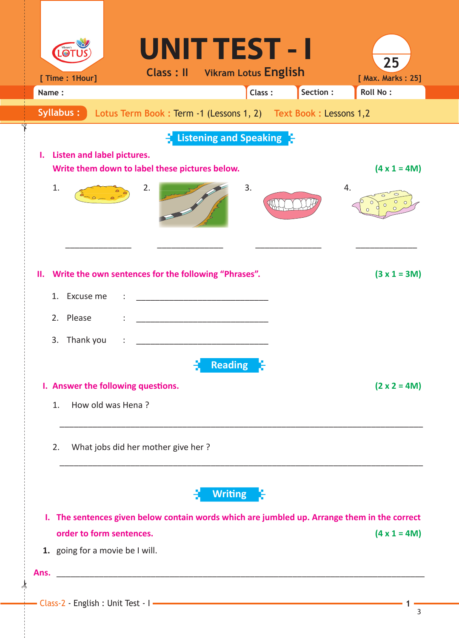| [ Time : 1Hour]                                                                           |                                    | <b>Class: II</b> Vikram Lotus English                          |                |        |           | 25<br>[ Max. Marks: 25]                                                                   |
|-------------------------------------------------------------------------------------------|------------------------------------|----------------------------------------------------------------|----------------|--------|-----------|-------------------------------------------------------------------------------------------|
| Name:                                                                                     |                                    |                                                                |                | Class: | Section : | Roll No:                                                                                  |
| Syllabus:                                                                                 |                                    | Lotus Term Book: Term -1 (Lessons 1, 2) Text Book: Lessons 1,2 |                |        |           |                                                                                           |
|                                                                                           |                                    | <b>Listening and Speaking F</b>                                |                |        |           |                                                                                           |
| <b>Listen and label pictures.</b><br>ı.<br>Write them down to label these pictures below. |                                    |                                                                |                |        |           | $(4 x 1 = 4M)$                                                                            |
| 1.                                                                                        | 2.                                 |                                                                | 3.             |        |           | 4.                                                                                        |
| II. Write the own sentences for the following "Phrases".<br>1.<br>Excuse me               |                                    |                                                                |                |        |           | $(3 x 1 = 3M)$                                                                            |
| Please<br>2.                                                                              |                                    |                                                                |                |        |           |                                                                                           |
| Thank you<br>3.                                                                           |                                    |                                                                |                |        |           |                                                                                           |
|                                                                                           |                                    |                                                                | <b>Reading</b> |        |           |                                                                                           |
| I. Answer the following questions.                                                        |                                    |                                                                |                |        |           | $(2 \times 2 = 4M)$                                                                       |
| How old was Hena?<br>1.                                                                   |                                    |                                                                |                |        |           |                                                                                           |
| 2.                                                                                        | What jobs did her mother give her? |                                                                |                |        |           |                                                                                           |
|                                                                                           |                                    |                                                                | <b>Writing</b> |        |           |                                                                                           |
| ı.                                                                                        |                                    |                                                                |                |        |           | The sentences given below contain words which are jumbled up. Arrange them in the correct |
| order to form sentences.                                                                  |                                    |                                                                |                |        |           | $(4 \times 1 = 4M)$                                                                       |
| 1. going for a movie be I will.                                                           |                                    |                                                                |                |        |           |                                                                                           |

 $\star$ 

✁